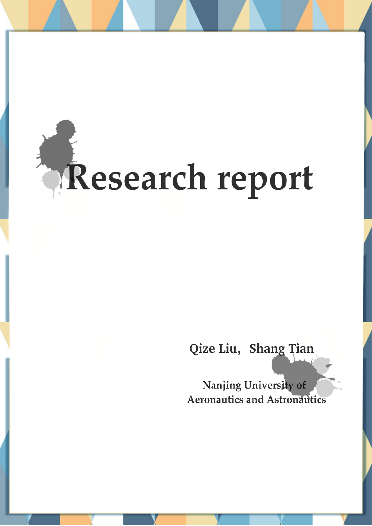# Research report

# Qize Liu, Shang Tian

Nanjing University of **Aeronautics and Astronautics**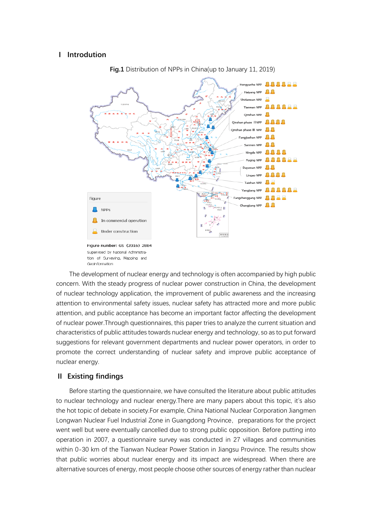### **Ⅰ Introdution**



**Fig.1** Distribution of NPPs in China(up to January 11, 2019)

The development of nuclear energy and technology is often accompanied by high public concern. With the steady progress of nuclear power construction in China, the development of nuclear technology application, the improvement of public awareness and the increasing attention to environmental safety issues, nuclear safety has attracted more and more public attention, and public acceptance has become an important factor affecting the development of nuclear power.Through questionnaires, this paper tries to analyze the current situation and characteristics of public attitudes towards nuclear energy and technology, so as to put forward suggestions for relevant government departments and nuclear power operators, in order to promote the correct understanding of nuclear safety and improve public acceptance of nuclear energy.

#### **Ⅱ Existing findings**

Before starting the questionnaire, we have consulted the literature about public attitudes to nuclear technology and nuclear energy.There are many papers about this topic, it's also the hot topic of debate in society.For example, China National Nuclear Corporation Jiangmen Longwan Nuclear Fuel Industrial Zone in Guangdong Province, preparations for the project went well but were eventually cancelled due to strong public opposition. Before putting into operation in 2007, a questionnaire survey was conducted in 27 villages and communities within 0-30 km of the Tianwan Nuclear Power Station in Jiangsu Province. The results show that public worries about nuclear energy and its impact are widespread. When there are alternative sources of energy, most people choose other sources of energy rather than nuclear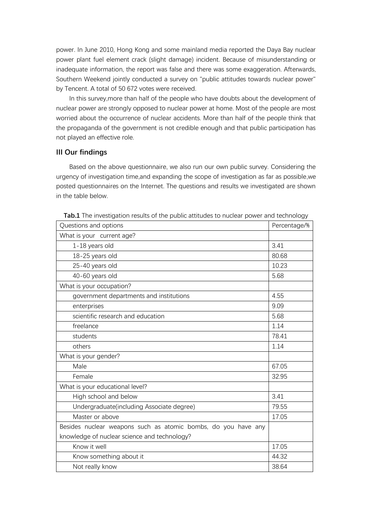power. In June 2010, Hong Kong and some mainland media reported the Daya Bay nuclear power plant fuel element crack (slight damage) incident. Because of misunderstanding or inadequate information, the report was false and there was some exaggeration. Afterwards, Southern Weekend jointly conducted a survey on "public attitudes towards nuclear power" by Tencent. A total of 50 672 votes were received.

In this survey,more than half of the people who have doubts about the development of nuclear power are strongly opposed to nuclear power at home. Most of the people are most worried about the occurrence of nuclear accidents. More than half of the people think that the propaganda of the government is not credible enough and that public participation has not played an effective role.

## **III Our findings**

Based on the above questionnaire, we also run our own public survey. Considering the urgency of investigation time,and expanding the scope of investigation as far as possible,we posted questionnaires on the Internet. The questions and results we investigated are shown in the table below.

| <b>Table</b> This investigation results or the public attitudes to hudical power and technology<br>Questions and options | Percentage/% |
|--------------------------------------------------------------------------------------------------------------------------|--------------|
| What is your current age?                                                                                                |              |
| 1-18 years old                                                                                                           | 3.41         |
| 18-25 years old                                                                                                          | 80.68        |
| 25-40 years old                                                                                                          | 10.23        |
| 40-60 years old                                                                                                          | 5.68         |
| What is your occupation?                                                                                                 |              |
| government departments and institutions                                                                                  | 4.55         |
| enterprises                                                                                                              | 9.09         |
| scientific research and education                                                                                        | 5.68         |
| freelance                                                                                                                | 1.14         |
| students                                                                                                                 | 78.41        |
| others                                                                                                                   | 1.14         |
| What is your gender?                                                                                                     |              |
| Male                                                                                                                     | 67.05        |
| Female                                                                                                                   | 32.95        |
| What is your educational level?                                                                                          |              |
| High school and below                                                                                                    | 3.41         |
| Undergraduate(including Associate degree)                                                                                | 79.55        |
| Master or above                                                                                                          | 17.05        |
| Besides nuclear weapons such as atomic bombs, do you have any                                                            |              |
| knowledge of nuclear science and technology?                                                                             |              |
| Know it well                                                                                                             | 17.05        |
| Know something about it                                                                                                  | 44.32        |
| Not really know                                                                                                          | 38.64        |

**Tab.1** The investigation results of the public attitudes to nuclear power and technology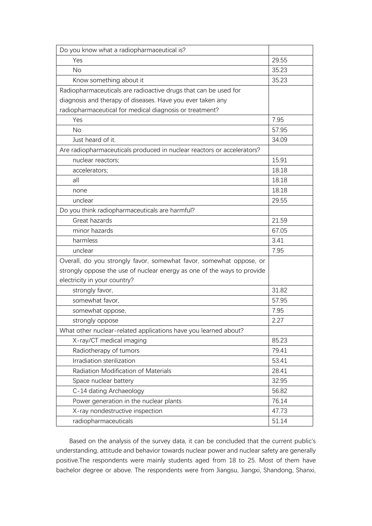| Do you know what a radiopharmaceutical is?                              |       |
|-------------------------------------------------------------------------|-------|
| Yes                                                                     | 29.55 |
| No                                                                      | 35.23 |
| Know something about it                                                 | 35.23 |
| Radiopharmaceuticals are radioactive drugs that can be used for         |       |
| diagnosis and therapy of diseases. Have you ever taken any              |       |
| radiopharmaceutical for medical diagnosis or treatment?                 |       |
| Yes                                                                     | 7.95  |
| <b>No</b>                                                               | 57.95 |
| Just heard of it.                                                       | 34.09 |
| Are radiopharmaceuticals produced in nuclear reactors or accelerators?  |       |
| nuclear reactors;                                                       | 15.91 |
| accelerators;                                                           | 18.18 |
| all                                                                     | 18.18 |
| none                                                                    | 18.18 |
| unclear                                                                 | 29.55 |
| Do you think radiopharmaceuticals are harmful?                          |       |
| Great hazards                                                           | 21.59 |
| minor hazards                                                           | 67.05 |
| harmless                                                                | 3.41  |
| unclear                                                                 | 7.95  |
| Overall, do you strongly favor, somewhat favor, somewhat oppose, or     |       |
| strongly oppose the use of nuclear energy as one of the ways to provide |       |
| electricity in your country?                                            |       |
| strongly favor,                                                         | 31.82 |
| somewhat favor,                                                         | 57.95 |
| somewhat oppose,                                                        | 7.95  |
| strongly oppose                                                         | 2.27  |
| What other nuclear-related applications have you learned about?         |       |
| X-ray/CT medical imaging                                                | 85.23 |
| Radiotherapy of tumors                                                  | 79.41 |
| Irradiation sterilization                                               | 53.41 |
| <b>Radiation Modification of Materials</b>                              | 28.41 |
| Space nuclear battery                                                   | 32.95 |
| C-14 dating Archaeology                                                 | 56.82 |
| Power generation in the nuclear plants                                  | 76.14 |
| X-ray nondestructive inspection                                         | 47.73 |
| radiopharmaceuticals                                                    | 51.14 |

Based on the analysis of the survey data, it can be concluded that the current public's understanding, attitude and behavior towards nuclear power and nuclear safety are generally positive.The respondents were mainly students aged from 18 to 25. Most of them have bachelor degree or above. The respondents were from Jiangsu, Jiangxi, Shandong, Shanxi,